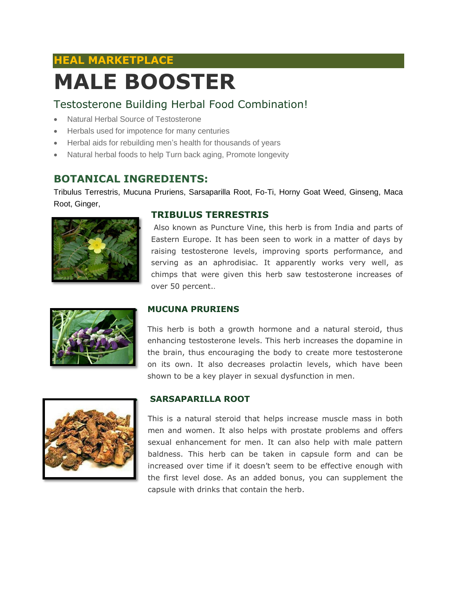### **HEAL MARKETPLACE**

# **MALE BOOSTER**

#### Testosterone Building Herbal Food Combination!

- Natural Herbal Source of Testosterone
- Herbals used for impotence for many centuries
- Herbal aids for rebuilding men's health for thousands of years
- Natural herbal foods to help Turn back aging, Promote longevity

#### **BOTANICAL INGREDIENTS:**

Tribulus Terrestris, Mucuna Pruriens, Sarsaparilla Root, Fo-Ti, Horny Goat Weed, Ginseng, Maca Root, Ginger,



#### **TRIBULUS TERRESTRIS**

 Also known as Puncture Vine, this herb is from India and parts of Eastern Europe. It has been seen to work in a matter of days by raising testosterone levels, improving sports performance, and serving as an aphrodisiac. It apparently works very well, as chimps that were given this herb saw testosterone increases of over 50 percent..



#### **MUCUNA PRURIENS**

This herb is both a growth hormone and a natural steroid, thus enhancing testosterone levels. This herb increases the dopamine in the brain, thus encouraging the body to create more testosterone on its own. It also decreases prolactin levels, which have been shown to be a key player in sexual dysfunction in men.



#### **SARSAPARILLA ROOT**

This is a natural steroid that helps increase muscle mass in both men and women. It also helps with prostate problems and offers sexual enhancement for men. It can also help with male pattern baldness. This herb can be taken in capsule form and can be increased over time if it doesn't seem to be effective enough with the first level dose. As an added bonus, you can supplement the capsule with drinks that contain the herb.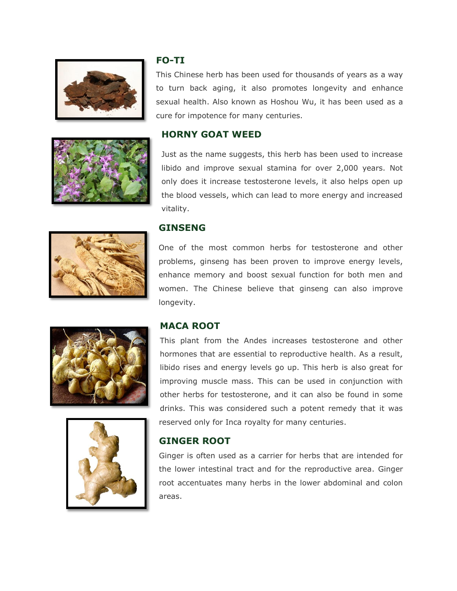

#### **FO-TI**

This Chinese herb has been used for thousands of years as a way to turn back aging, it also promotes longevity and enhance sexual health. Also known as Hoshou Wu, it has been used as a cure for impotence for many centuries.

#### **HORNY GOAT WEED**

Just as the name suggests, this herb has been used to increase libido and improve sexual stamina for over 2,000 years. Not only does it increase testosterone levels, it also helps open up the blood vessels, which can lead to more energy and increased vitality.

#### **GINSENG**

One of the most common herbs for testosterone and other problems, ginseng has been proven to improve energy levels, enhance memory and boost sexual function for both men and women. The Chinese believe that ginseng can also improve longevity.





#### **MACA ROOT**

This plant from the Andes increases testosterone and other hormones that are essential to reproductive health. As a result, libido rises and energy levels go up. This herb is also great for improving muscle mass. This can be used in conjunction with other herbs for testosterone, and it can also be found in some drinks. This was considered such a potent remedy that it was reserved only for Inca royalty for many centuries.

#### **GINGER ROOT**

Ginger is often used as a carrier for herbs that are intended for the lower intestinal tract and for the reproductive area. Ginger root accentuates many herbs in the lower abdominal and colon areas.